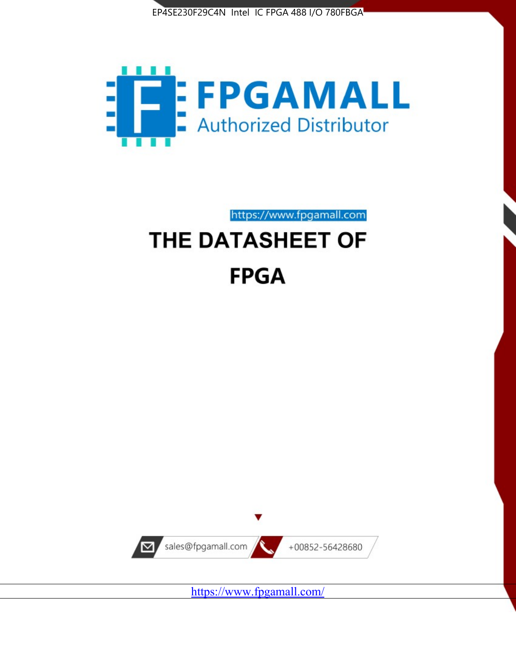



https://www.fpgamall.com

# THE DATASHEET OF **FPGA**



<https://www.fpgamall.com/>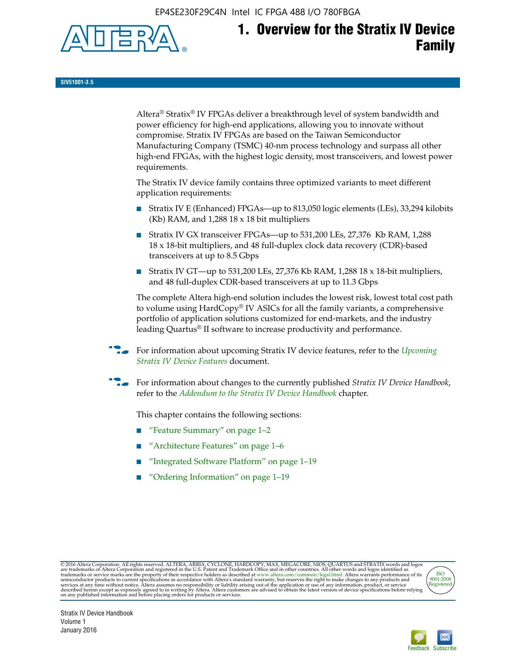EP4SE230F29C4N Intel IC FPGA 488 I/O 780FBGA



# **1. Overview for the Stratix IV Device Family**

**SIV51001-3.5**

Altera® Stratix® IV FPGAs deliver a breakthrough level of system bandwidth and power efficiency for high-end applications, allowing you to innovate without compromise. Stratix IV FPGAs are based on the Taiwan Semiconductor Manufacturing Company (TSMC) 40-nm process technology and surpass all other high-end FPGAs, with the highest logic density, most transceivers, and lowest power requirements.

The Stratix IV device family contains three optimized variants to meet different application requirements:

- Stratix IV E (Enhanced) FPGAs—up to 813,050 logic elements (LEs), 33,294 kilobits (Kb) RAM, and 1,288 18 x 18 bit multipliers
- Stratix IV GX transceiver FPGAs—up to 531,200 LEs, 27,376 Kb RAM, 1,288 18 x 18-bit multipliers, and 48 full-duplex clock data recovery (CDR)-based transceivers at up to 8.5 Gbps
- Stratix IV GT—up to 531,200 LEs, 27,376 Kb RAM, 1,288 18 x 18-bit multipliers, and 48 full-duplex CDR-based transceivers at up to 11.3 Gbps

The complete Altera high-end solution includes the lowest risk, lowest total cost path to volume using HardCopy® IV ASICs for all the family variants, a comprehensive portfolio of application solutions customized for end-markets, and the industry leading Quartus® II software to increase productivity and performance.

f For information about upcoming Stratix IV device features, refer to the *[Upcoming](http://www.altera.com/literature/hb/stratix-iv/uf01001.pdf?GSA_pos=2&WT.oss_r=1&WT.oss=upcoming)  [Stratix IV Device Features](http://www.altera.com/literature/hb/stratix-iv/uf01001.pdf?GSA_pos=2&WT.oss_r=1&WT.oss=upcoming)* document.

f For information about changes to the currently published *Stratix IV Device Handbook*, refer to the *[Addendum to the Stratix IV Device Handbook](http://www.altera.com/literature/hb/stratix-iv/stx4_siv54002.pdf)* chapter.

This chapter contains the following sections:

- "Feature Summary" on page 1–2
- "Architecture Features" on page 1–6
- "Integrated Software Platform" on page 1-19
- "Ordering Information" on page 1–19

@2016 Altera Corporation. All rights reserved. ALTERA, ARRIA, CYCLONE, HARDCOPY, MAX, MEGACORE, NIOS, QUARTUS and STRATIX words and logos are trademarks of Altera Corporation and registered in the U.S. Patent and Trademark



Stratix IV Device Handbook Volume 1 January 2016

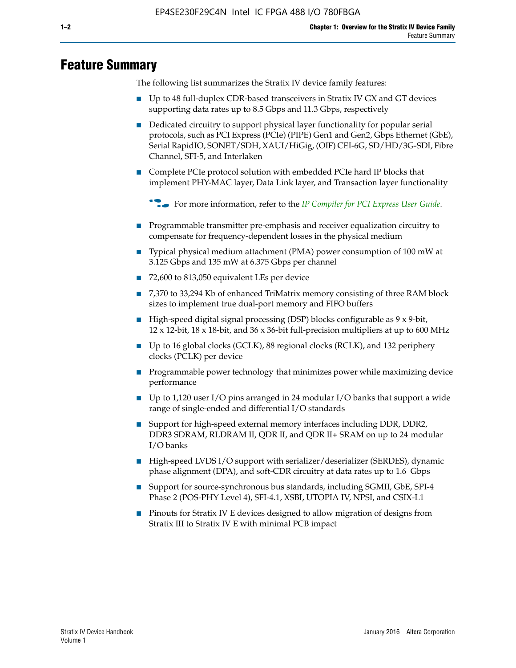# **Feature Summary**

The following list summarizes the Stratix IV device family features:

- Up to 48 full-duplex CDR-based transceivers in Stratix IV GX and GT devices supporting data rates up to 8.5 Gbps and 11.3 Gbps, respectively
- Dedicated circuitry to support physical layer functionality for popular serial protocols, such as PCI Express (PCIe) (PIPE) Gen1 and Gen2, Gbps Ethernet (GbE), Serial RapidIO, SONET/SDH, XAUI/HiGig, (OIF) CEI-6G, SD/HD/3G-SDI, Fibre Channel, SFI-5, and Interlaken
- Complete PCIe protocol solution with embedded PCIe hard IP blocks that implement PHY-MAC layer, Data Link layer, and Transaction layer functionality

**For more information, refer to the** *[IP Compiler for PCI Express User Guide](http://www.altera.com/literature/ug/ug_pci_express.pdf)***.** 

- Programmable transmitter pre-emphasis and receiver equalization circuitry to compensate for frequency-dependent losses in the physical medium
- Typical physical medium attachment (PMA) power consumption of 100 mW at 3.125 Gbps and 135 mW at 6.375 Gbps per channel
- 72,600 to 813,050 equivalent LEs per device
- 7,370 to 33,294 Kb of enhanced TriMatrix memory consisting of three RAM block sizes to implement true dual-port memory and FIFO buffers
- High-speed digital signal processing (DSP) blocks configurable as 9 x 9-bit,  $12 \times 12$ -bit,  $18 \times 18$ -bit, and  $36 \times 36$ -bit full-precision multipliers at up to 600 MHz
- Up to 16 global clocks (GCLK), 88 regional clocks (RCLK), and 132 periphery clocks (PCLK) per device
- Programmable power technology that minimizes power while maximizing device performance
- Up to 1,120 user I/O pins arranged in 24 modular I/O banks that support a wide range of single-ended and differential I/O standards
- Support for high-speed external memory interfaces including DDR, DDR2, DDR3 SDRAM, RLDRAM II, QDR II, and QDR II+ SRAM on up to 24 modular I/O banks
- High-speed LVDS I/O support with serializer/deserializer (SERDES), dynamic phase alignment (DPA), and soft-CDR circuitry at data rates up to 1.6 Gbps
- Support for source-synchronous bus standards, including SGMII, GbE, SPI-4 Phase 2 (POS-PHY Level 4), SFI-4.1, XSBI, UTOPIA IV, NPSI, and CSIX-L1
- Pinouts for Stratix IV E devices designed to allow migration of designs from Stratix III to Stratix IV E with minimal PCB impact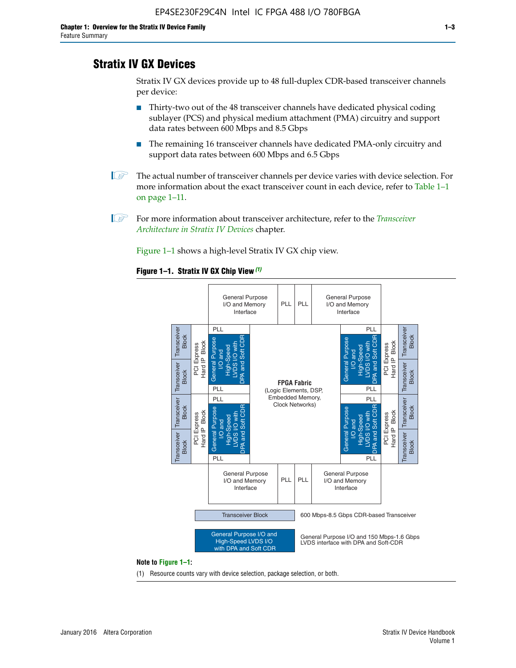# **Stratix IV GX Devices**

Stratix IV GX devices provide up to 48 full-duplex CDR-based transceiver channels per device:

- Thirty-two out of the 48 transceiver channels have dedicated physical coding sublayer (PCS) and physical medium attachment (PMA) circuitry and support data rates between 600 Mbps and 8.5 Gbps
- The remaining 16 transceiver channels have dedicated PMA-only circuitry and support data rates between 600 Mbps and 6.5 Gbps
- **1 The actual number of transceiver channels per device varies with device selection. For** more information about the exact transceiver count in each device, refer to Table 1–1 on page 1–11.
- 1 For more information about transceiver architecture, refer to the *[Transceiver](http://www.altera.com/literature/hb/stratix-iv/stx4_siv52001.pdf)  [Architecture in Stratix IV Devices](http://www.altera.com/literature/hb/stratix-iv/stx4_siv52001.pdf)* chapter.

Figure 1–1 shows a high-level Stratix IV GX chip view.

#### **Figure 1–1. Stratix IV GX Chip View** *(1)*



#### **Note to Figure 1–1:**

(1) Resource counts vary with device selection, package selection, or both.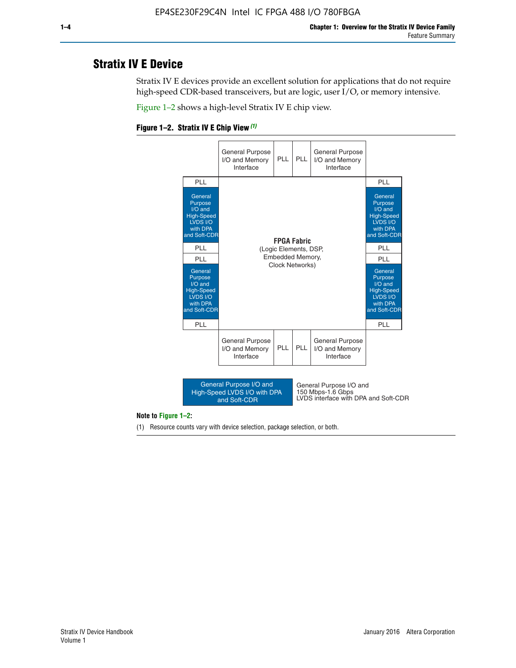# **Stratix IV E Device**

Stratix IV E devices provide an excellent solution for applications that do not require high-speed CDR-based transceivers, but are logic, user I/O, or memory intensive.

Figure 1–2 shows a high-level Stratix IV E chip view.





#### **Note to Figure 1–2:**

(1) Resource counts vary with device selection, package selection, or both.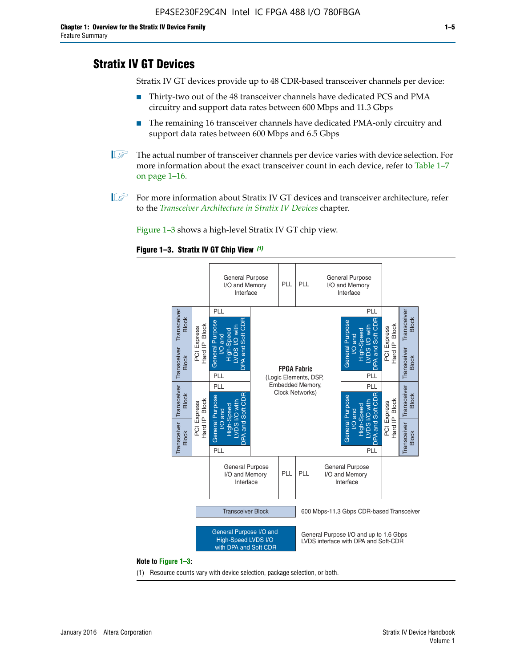# **Stratix IV GT Devices**

Stratix IV GT devices provide up to 48 CDR-based transceiver channels per device:

- Thirty-two out of the 48 transceiver channels have dedicated PCS and PMA circuitry and support data rates between 600 Mbps and 11.3 Gbps
- The remaining 16 transceiver channels have dedicated PMA-only circuitry and support data rates between 600 Mbps and 6.5 Gbps
- **1** The actual number of transceiver channels per device varies with device selection. For more information about the exact transceiver count in each device, refer to Table 1–7 on page 1–16.
- $\mathbb{I}$  For more information about Stratix IV GT devices and transceiver architecture, refer to the *[Transceiver Architecture in Stratix IV Devices](http://www.altera.com/literature/hb/stratix-iv/stx4_siv52001.pdf)* chapter.

Figure 1–3 shows a high-level Stratix IV GT chip view.

#### **Figure 1–3. Stratix IV GT Chip View** *(1)*



(1) Resource counts vary with device selection, package selection, or both.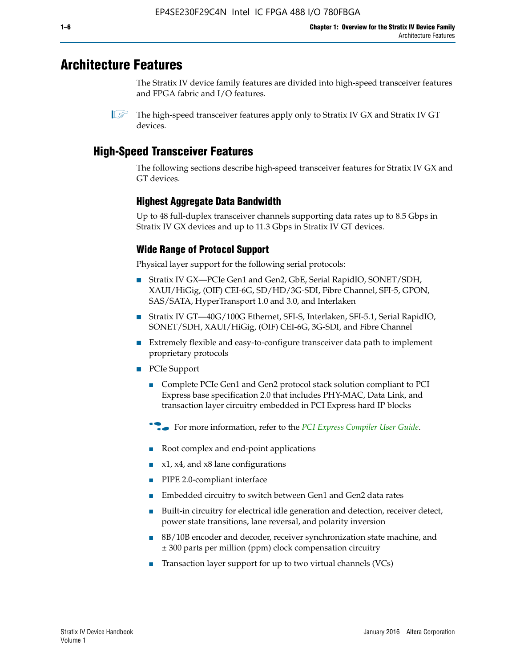# **Architecture Features**

The Stratix IV device family features are divided into high-speed transceiver features and FPGA fabric and I/O features.

 $\mathbb{I}$  The high-speed transceiver features apply only to Stratix IV GX and Stratix IV GT devices.

# **High-Speed Transceiver Features**

The following sections describe high-speed transceiver features for Stratix IV GX and GT devices.

## **Highest Aggregate Data Bandwidth**

Up to 48 full-duplex transceiver channels supporting data rates up to 8.5 Gbps in Stratix IV GX devices and up to 11.3 Gbps in Stratix IV GT devices.

# **Wide Range of Protocol Support**

Physical layer support for the following serial protocols:

- Stratix IV GX—PCIe Gen1 and Gen2, GbE, Serial RapidIO, SONET/SDH, XAUI/HiGig, (OIF) CEI-6G, SD/HD/3G-SDI, Fibre Channel, SFI-5, GPON, SAS/SATA, HyperTransport 1.0 and 3.0, and Interlaken
- Stratix IV GT—40G/100G Ethernet, SFI-S, Interlaken, SFI-5.1, Serial RapidIO, SONET/SDH, XAUI/HiGig, (OIF) CEI-6G, 3G-SDI, and Fibre Channel
- Extremely flexible and easy-to-configure transceiver data path to implement proprietary protocols
- PCIe Support
	- Complete PCIe Gen1 and Gen2 protocol stack solution compliant to PCI Express base specification 2.0 that includes PHY-MAC, Data Link, and transaction layer circuitry embedded in PCI Express hard IP blocks
	- **For more information, refer to the [PCI Express Compiler User Guide](http://www.altera.com/literature/ug/ug_pci_express.pdf).**
	- Root complex and end-point applications
	- $x1, x4,$  and  $x8$  lane configurations
	- PIPE 2.0-compliant interface
	- Embedded circuitry to switch between Gen1 and Gen2 data rates
	- Built-in circuitry for electrical idle generation and detection, receiver detect, power state transitions, lane reversal, and polarity inversion
	- 8B/10B encoder and decoder, receiver synchronization state machine, and ± 300 parts per million (ppm) clock compensation circuitry
	- Transaction layer support for up to two virtual channels (VCs)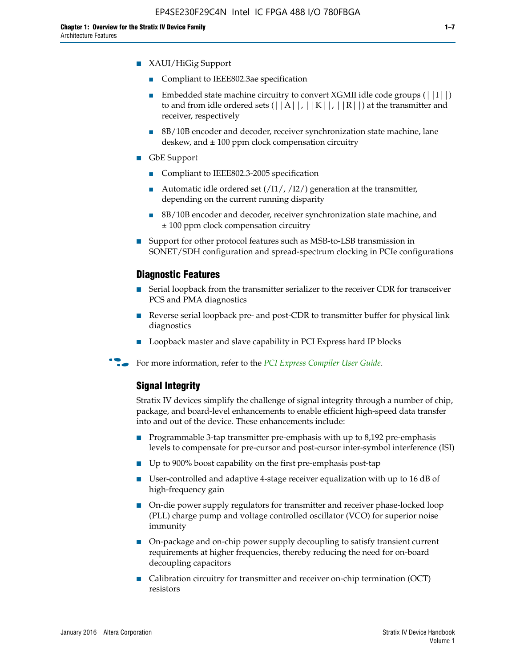- XAUI/HiGig Support
	- Compliant to IEEE802.3ae specification
	- **■** Embedded state machine circuitry to convert XGMII idle code groups  $(|11|)$ to and from idle ordered sets  $(|A|, |K|, |R|)$  at the transmitter and receiver, respectively
	- 8B/10B encoder and decoder, receiver synchronization state machine, lane deskew, and  $\pm 100$  ppm clock compensation circuitry
- GbE Support
	- Compliant to IEEE802.3-2005 specification
	- Automatic idle ordered set  $(111/112/1)$  generation at the transmitter, depending on the current running disparity
	- 8B/10B encoder and decoder, receiver synchronization state machine, and ± 100 ppm clock compensation circuitry
- Support for other protocol features such as MSB-to-LSB transmission in SONET/SDH configuration and spread-spectrum clocking in PCIe configurations

#### **Diagnostic Features**

- Serial loopback from the transmitter serializer to the receiver CDR for transceiver PCS and PMA diagnostics
- Reverse serial loopback pre- and post-CDR to transmitter buffer for physical link diagnostics
- Loopback master and slave capability in PCI Express hard IP blocks
- **For more information, refer to the** *[PCI Express Compiler User Guide](http://www.altera.com/literature/ug/ug_pci_express.pdf)***.**

#### **Signal Integrity**

Stratix IV devices simplify the challenge of signal integrity through a number of chip, package, and board-level enhancements to enable efficient high-speed data transfer into and out of the device. These enhancements include:

- Programmable 3-tap transmitter pre-emphasis with up to 8,192 pre-emphasis levels to compensate for pre-cursor and post-cursor inter-symbol interference (ISI)
- Up to 900% boost capability on the first pre-emphasis post-tap
- User-controlled and adaptive 4-stage receiver equalization with up to 16 dB of high-frequency gain
- On-die power supply regulators for transmitter and receiver phase-locked loop (PLL) charge pump and voltage controlled oscillator (VCO) for superior noise immunity
- On-package and on-chip power supply decoupling to satisfy transient current requirements at higher frequencies, thereby reducing the need for on-board decoupling capacitors
- Calibration circuitry for transmitter and receiver on-chip termination (OCT) resistors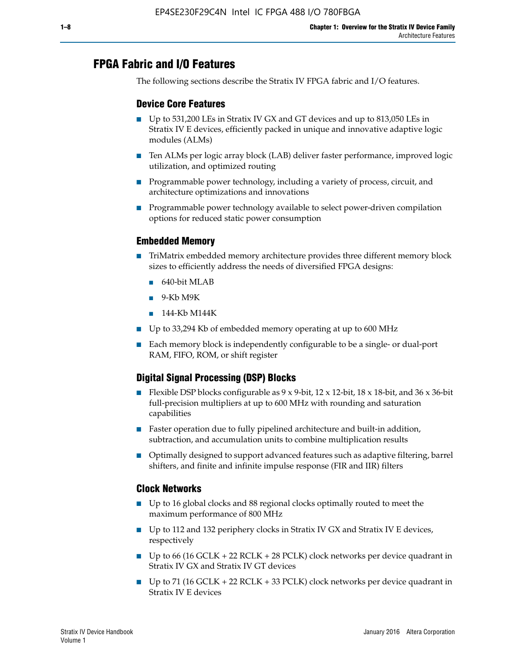# **FPGA Fabric and I/O Features**

The following sections describe the Stratix IV FPGA fabric and I/O features.

## **Device Core Features**

- Up to 531,200 LEs in Stratix IV GX and GT devices and up to 813,050 LEs in Stratix IV E devices, efficiently packed in unique and innovative adaptive logic modules (ALMs)
- Ten ALMs per logic array block (LAB) deliver faster performance, improved logic utilization, and optimized routing
- Programmable power technology, including a variety of process, circuit, and architecture optimizations and innovations
- Programmable power technology available to select power-driven compilation options for reduced static power consumption

## **Embedded Memory**

- TriMatrix embedded memory architecture provides three different memory block sizes to efficiently address the needs of diversified FPGA designs:
	- 640-bit MLAB
	- 9-Kb M9K
	- 144-Kb M144K
- Up to 33,294 Kb of embedded memory operating at up to 600 MHz
- Each memory block is independently configurable to be a single- or dual-port RAM, FIFO, ROM, or shift register

# **Digital Signal Processing (DSP) Blocks**

- Flexible DSP blocks configurable as  $9 \times 9$ -bit,  $12 \times 12$ -bit,  $18 \times 18$ -bit, and  $36 \times 36$ -bit full-precision multipliers at up to 600 MHz with rounding and saturation capabilities
- Faster operation due to fully pipelined architecture and built-in addition, subtraction, and accumulation units to combine multiplication results
- Optimally designed to support advanced features such as adaptive filtering, barrel shifters, and finite and infinite impulse response (FIR and IIR) filters

#### **Clock Networks**

- Up to 16 global clocks and 88 regional clocks optimally routed to meet the maximum performance of 800 MHz
- Up to 112 and 132 periphery clocks in Stratix IV GX and Stratix IV E devices, respectively
- Up to 66 (16 GCLK + 22 RCLK + 28 PCLK) clock networks per device quadrant in Stratix IV GX and Stratix IV GT devices
- Up to 71 (16 GCLK + 22 RCLK + 33 PCLK) clock networks per device quadrant in Stratix IV E devices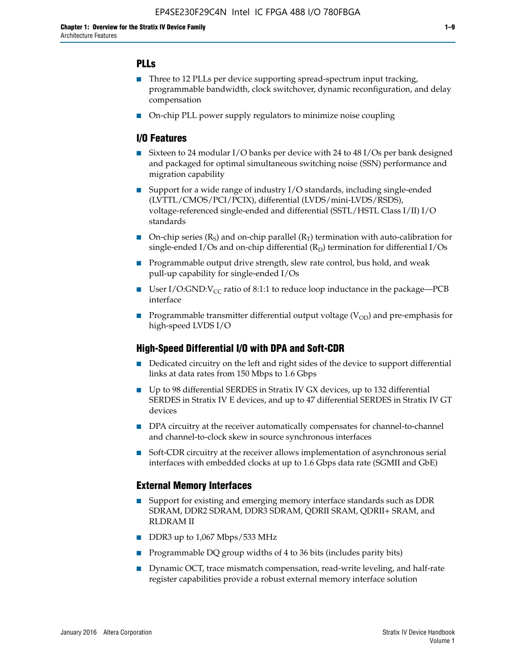# **PLLs**

- Three to 12 PLLs per device supporting spread-spectrum input tracking, programmable bandwidth, clock switchover, dynamic reconfiguration, and delay compensation
- On-chip PLL power supply regulators to minimize noise coupling

## **I/O Features**

- Sixteen to 24 modular I/O banks per device with 24 to 48 I/Os per bank designed and packaged for optimal simultaneous switching noise (SSN) performance and migration capability
- Support for a wide range of industry I/O standards, including single-ended (LVTTL/CMOS/PCI/PCIX), differential (LVDS/mini-LVDS/RSDS), voltage-referenced single-ended and differential (SSTL/HSTL Class I/II) I/O standards
- **O**n-chip series  $(R_S)$  and on-chip parallel  $(R_T)$  termination with auto-calibration for single-ended I/Os and on-chip differential  $(R_D)$  termination for differential I/Os
- Programmable output drive strength, slew rate control, bus hold, and weak pull-up capability for single-ended I/Os
- User I/O:GND: $V_{CC}$  ratio of 8:1:1 to reduce loop inductance in the package—PCB interface
- **■** Programmable transmitter differential output voltage ( $V_{OD}$ ) and pre-emphasis for high-speed LVDS I/O

## **High-Speed Differential I/O with DPA and Soft-CDR**

- Dedicated circuitry on the left and right sides of the device to support differential links at data rates from 150 Mbps to 1.6 Gbps
- Up to 98 differential SERDES in Stratix IV GX devices, up to 132 differential SERDES in Stratix IV E devices, and up to 47 differential SERDES in Stratix IV GT devices
- DPA circuitry at the receiver automatically compensates for channel-to-channel and channel-to-clock skew in source synchronous interfaces
- Soft-CDR circuitry at the receiver allows implementation of asynchronous serial interfaces with embedded clocks at up to 1.6 Gbps data rate (SGMII and GbE)

## **External Memory Interfaces**

- Support for existing and emerging memory interface standards such as DDR SDRAM, DDR2 SDRAM, DDR3 SDRAM, QDRII SRAM, QDRII+ SRAM, and RLDRAM II
- DDR3 up to 1,067 Mbps/533 MHz
- Programmable DQ group widths of 4 to 36 bits (includes parity bits)
- Dynamic OCT, trace mismatch compensation, read-write leveling, and half-rate register capabilities provide a robust external memory interface solution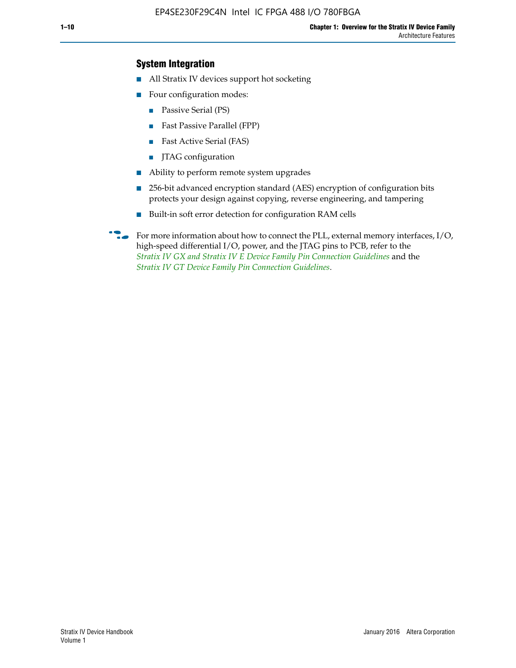## **System Integration**

- All Stratix IV devices support hot socketing
- Four configuration modes:
	- Passive Serial (PS)
	- Fast Passive Parallel (FPP)
	- Fast Active Serial (FAS)
	- JTAG configuration
- Ability to perform remote system upgrades
- 256-bit advanced encryption standard (AES) encryption of configuration bits protects your design against copying, reverse engineering, and tampering
- Built-in soft error detection for configuration RAM cells
- For more information about how to connect the PLL, external memory interfaces,  $I/O$ , high-speed differential I/O, power, and the JTAG pins to PCB, refer to the *[Stratix IV GX and Stratix IV E Device Family Pin Connection Guidelines](http://www.altera.com/literature/dp/stratix4/PCG-01005.pdf)* and the *[Stratix IV GT Device Family Pin Connection Guidelines](http://www.altera.com/literature/dp/stratix4/PCG-01006.pdf)*.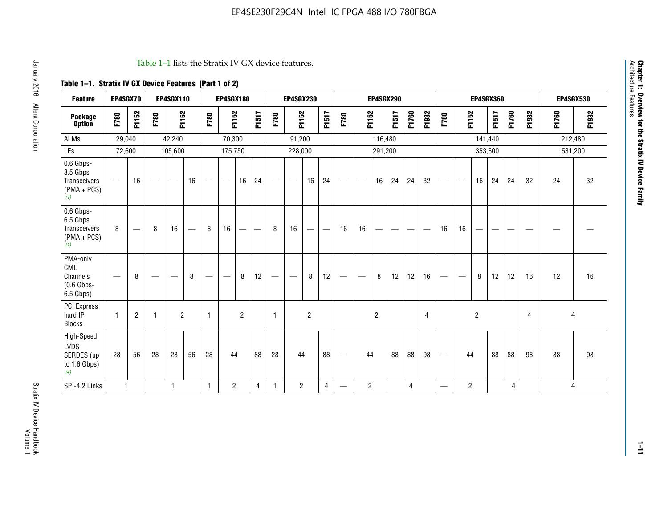#### Table 1–1 lists the Stratix IV GX device features.

# **Table 1–1. Stratix IV GX Device Features (Part 1 of 2)**

| <b>Feature</b>                                                       | EP4SGX70     |                               |      | <b>EP4SGX110</b>  |                   |      | <b>EP4SGX180</b>                |                |       |                                 | <b>EP4SGX230</b>              |                |                                   |                                 |                | <b>EP4SGX290</b>         |                          |       |                |                          |                                |                | <b>EP4SGX360</b> |       |                |       | <b>EP4SGX530</b> |
|----------------------------------------------------------------------|--------------|-------------------------------|------|-------------------|-------------------|------|---------------------------------|----------------|-------|---------------------------------|-------------------------------|----------------|-----------------------------------|---------------------------------|----------------|--------------------------|--------------------------|-------|----------------|--------------------------|--------------------------------|----------------|------------------|-------|----------------|-------|------------------|
| <b>Package</b><br><b>Option</b>                                      | F780         | F1152                         | F780 | F1152             |                   | F780 | F1152                           |                | F1517 | F780                            | F1152                         |                | F1517                             | F780                            | F1152          |                          | F1517                    | F1760 | F1932          | F780                     | F1152                          |                | F1517            | F1760 | F1932          | F1760 | F1932            |
| <b>ALMs</b>                                                          | 29,040       |                               |      | 42,240            |                   |      | 70,300                          |                |       |                                 | 91,200                        |                |                                   |                                 |                | 116,480                  |                          |       |                |                          |                                | 141,440        |                  |       |                |       | 212,480          |
| LEs                                                                  | 72,600       |                               |      | 105,600           |                   |      | 175,750                         |                |       |                                 | 228,000                       |                |                                   |                                 |                | 291,200                  |                          |       |                |                          |                                |                | 353,600          |       |                |       | 531,200          |
| 0.6 Gbps-<br>8.5 Gbps<br>Transceivers<br>$(PMA + PCs)$<br>(1)        | —            | 16                            |      | $\hspace{0.05cm}$ | 16                | —    | $\hspace{0.1mm}-\hspace{0.1mm}$ | 16             | 24    | $\hspace{0.1mm}-\hspace{0.1mm}$ | $\overbrace{\phantom{aaaaa}}$ | 16             | 24                                | $\hspace{0.05cm}$               |                | 16                       | 24                       | 24    | 32             |                          | $\overbrace{\phantom{aaaaa}}$  | 16             | 24               | 24    | 32             | 24    | 32               |
| 0.6 Gbps-<br>6.5 Gbps<br><b>Transceivers</b><br>$(PMA + PCs)$<br>(1) | 8            | $\overbrace{\phantom{aaaaa}}$ | 8    | 16                | $\qquad \qquad -$ | 8    | 16                              | -              | —     | 8                               | 16                            | —              | $\overbrace{\phantom{123221111}}$ | 16                              | 16             | $\overline{\phantom{0}}$ | $\overline{\phantom{0}}$ |       |                | 16                       | 16                             | —              |                  |       |                |       |                  |
| PMA-only<br>CMU<br>Channels<br>$(0.6$ Gbps-<br>6.5 Gbps)             |              | 8                             |      |                   | 8                 | —    | —                               | 8              | 12    |                                 | $\overline{\phantom{m}}$      | 8              | 12                                | $\hspace{0.1mm}-\hspace{0.1mm}$ | -              | 8                        | 12                       | 12    | 16             |                          | $\qquad \qquad \longleftarrow$ | 8              | 12               | 12    | 16             | 12    | 16               |
| PCI Express<br>hard IP<br><b>Blocks</b>                              | $\mathbf{1}$ | $\overline{c}$                | -1   | $\overline{2}$    |                   | 1    |                                 | $\overline{2}$ |       | $\mathbf{1}$                    |                               | $\overline{c}$ |                                   |                                 |                | $\overline{2}$           |                          |       | $\overline{4}$ |                          |                                | $\overline{c}$ |                  |       | $\overline{4}$ | 4     |                  |
| High-Speed<br>LVDS<br>SERDES (up<br>to 1.6 Gbps)<br>(4)              | 28           | 56                            | 28   | 28                | 56                | 28   | 44                              |                | 88    | 28                              | 44                            |                | 88                                | —                               | 44             |                          | 88                       | 88    | 98             |                          | 44                             |                | 88               | 88    | 98             | 88    | 98               |
| SPI-4.2 Links                                                        | $\mathbf{1}$ |                               |      | 1                 |                   | 1    | $\overline{c}$                  |                | 4     | 1                               | $\overline{2}$                |                | 4                                 | —                               | $\overline{c}$ |                          |                          | 4     |                | $\overline{\phantom{0}}$ | 2                              |                |                  | 4     |                |       | 4                |

Architecture Features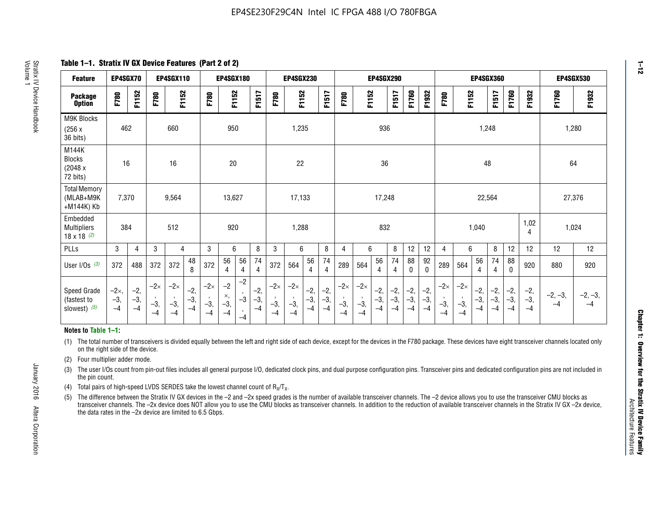**Table 1–1. Stratix IV GX Device Features (Part 2 of 2)**

| <b>Feature</b>                                       | EP4SGX70                |                        |                             | <b>EP4SGX110</b>            |                      |                             | <b>EP4SGX180</b>          |                                              |                        |                             | <b>EP4SGX230</b>            |                        |                      |                             |                             | EP4SGX290              |                      |                        |                        |                             |                             |                        | <b>EP4SGX360</b>     |                        |                        | <b>EP4SGX530</b>  |                   |
|------------------------------------------------------|-------------------------|------------------------|-----------------------------|-----------------------------|----------------------|-----------------------------|---------------------------|----------------------------------------------|------------------------|-----------------------------|-----------------------------|------------------------|----------------------|-----------------------------|-----------------------------|------------------------|----------------------|------------------------|------------------------|-----------------------------|-----------------------------|------------------------|----------------------|------------------------|------------------------|-------------------|-------------------|
| <b>Package</b><br><b>Option</b>                      | F780                    | F1152                  | F780                        | F1152                       |                      | F780                        | F1152                     |                                              | F1517                  | F780                        | F1152                       |                        | F1517                | F780                        | F1152                       |                        | F1517                | F1760                  | F1932                  | F780                        | F1152                       |                        | F1517                | F1760                  | F1932                  | F1760             | F1932             |
| M9K Blocks<br>(256x)<br>36 bits)                     | 462                     |                        |                             | 660                         |                      |                             | 950                       |                                              |                        |                             | 1,235                       |                        |                      |                             |                             | 936                    |                      |                        |                        |                             |                             | 1,248                  |                      |                        |                        | 1,280             |                   |
| M144K<br>Blocks<br>(2048 x<br>72 bits)               | 16                      |                        |                             | 16                          |                      |                             | 20                        |                                              |                        |                             | 22                          |                        |                      |                             |                             | 36                     |                      |                        |                        |                             |                             | 48                     |                      |                        |                        | 64                |                   |
| <b>Total Memory</b><br>(MLAB+M9K<br>+M144K) Kb       | 7,370                   |                        |                             | 9,564                       |                      |                             | 13,627                    |                                              |                        |                             | 17,133                      |                        |                      |                             |                             | 17,248                 |                      |                        |                        |                             |                             | 22,564                 |                      |                        |                        | 27,376            |                   |
| Embedded<br><b>Multipliers</b><br>$18 \times 18$ (2) | 384                     |                        |                             | 512                         |                      |                             | 920                       |                                              |                        |                             | 1,288                       |                        |                      |                             |                             | 832                    |                      |                        |                        |                             |                             | 1,040                  |                      |                        | 1,02<br>4              | 1,024             |                   |
| PLLs                                                 | 3                       | 4                      | 3                           | 4                           |                      | 3                           | 6                         |                                              | 8                      | 3                           | 6                           |                        | 8                    | 4                           | 6                           |                        | 8                    | 12                     | 12                     | 4                           | 6                           |                        | 8                    | 12                     | 12                     | 12                | 12                |
| User I/Os $(3)$                                      | 372                     | 488                    | 372                         | 372                         | 48<br>8              | 372                         | 56<br>4                   | 56<br>4                                      | 74<br>$\overline{4}$   | 372                         | 564                         | 56<br>4                | 74<br>$\overline{4}$ | 289                         | 564                         | 56<br>4                | 74<br>4              | 88<br>0                | 92<br>$\mathbf 0$      | 289                         | 564                         | 56<br>4                | 74<br>4              | 88<br>0                | 920                    | 880               | 920               |
| Speed Grade<br>(fastest to<br>slowest) (5)           | $-2x,$<br>$-3,$<br>$-4$ | $-2,$<br>$-3,$<br>$-4$ | $-2\times$<br>$-3,$<br>$-4$ | $-2\times$<br>$-3,$<br>$-4$ | $-2,$<br>-3,<br>$-4$ | $-2\times$<br>$-3,$<br>$-4$ | $-2$<br>×,<br>$-3,$<br>-4 | $-2$<br>$\,$<br>$-3$<br>$\mathbf{r}$<br>$-4$ | $-2,$<br>$-3,$<br>$-4$ | $-2\times$<br>$-3,$<br>$-4$ | $-2\times$<br>$-3,$<br>$-4$ | $-2,$<br>$-3,$<br>$-4$ | $-2,$<br>-3,<br>$-4$ | $-2\times$<br>$-3,$<br>$-4$ | $-2\times$<br>$-3,$<br>$-4$ | $-2,$<br>$-3,$<br>$-4$ | $-2,$<br>-3,<br>$-4$ | $-2,$<br>$-3,$<br>$-4$ | $-2,$<br>$-3,$<br>$-4$ | $-2\times$<br>$-3,$<br>$-4$ | $-2\times$<br>$-3,$<br>$-4$ | $-2,$<br>$-3,$<br>$-4$ | $-2,$<br>-3,<br>$-4$ | $-2,$<br>$-3,$<br>$-4$ | $-2,$<br>$-3,$<br>$-4$ | $-2, -3,$<br>$-4$ | $-2, -3,$<br>$-4$ |

#### **Notes to Table 1–1:**

(1) The total number of transceivers is divided equally between the left and right side of each device, except for the devices in the F780 package. These devices have eight transceiver channels located only on the right side of the device.

(2) Four multiplier adder mode.

(3) The user I/Os count from pin-out files includes all general purpose I/O, dedicated clock pins, and dual purpose configuration pins. Transceiver pins and dedicated configuration pins are not included in the pin count.

- (4) Total pairs of high-speed LVDS SERDES take the lowest channel count of  $R_X/T_X$ .
- (5) The difference between the Stratix IV GX devices in the –2 and –2x speed grades is the number of available transceiver channels. The –2 device allows you to use the transceiver CMU blocks as transceiver channels. The –2x device does NOT allow you to use the CMU blocks as transceiver channels. In addition to the reduction of available transceiver channels in the Stratix IV GX –2x device, the data rates in the –2x device are limited to 6.5 Gbps.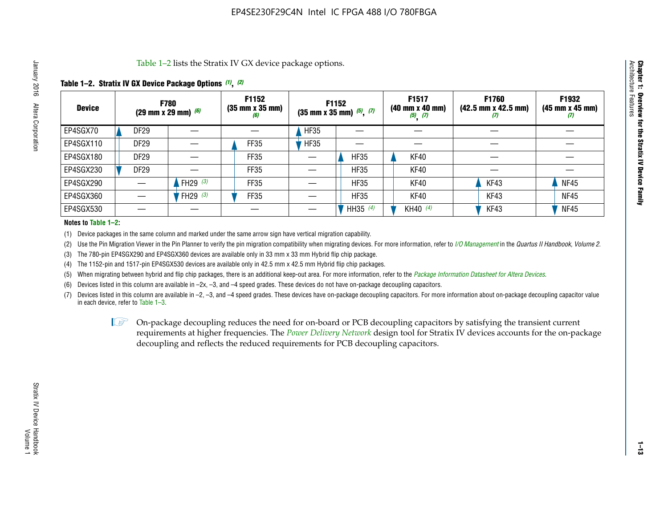Table 1–2 lists the Stratix IV GX device package options.

#### **Table 1–2. Stratix IV GX Device Package Options** *(1)***,** *(2)*

| <b>Device</b> |                  | <b>F780</b><br>$(29 \text{ mm} \times 29 \text{ mm})$ (6) | F1152<br>$(35 \, \text{mm} \times 35 \, \text{mm})$<br>(6) |             | <b>F1152</b><br>$(35$ mm x 35 mm) $(5)$ , $(7)$ | F1517<br>(40 mm x 40 mm)<br>$(5)$ $(7)$ | F1760<br>$(42.5 \text{ mm} \times 42.5 \text{ mm})$<br>Ш | F1932<br>$(45 \, \text{mm} \times 45 \, \text{mm})$<br>(7) |
|---------------|------------------|-----------------------------------------------------------|------------------------------------------------------------|-------------|-------------------------------------------------|-----------------------------------------|----------------------------------------------------------|------------------------------------------------------------|
| EP4SGX70      | <b>DF29</b>      |                                                           |                                                            | <b>HF35</b> |                                                 |                                         |                                                          |                                                            |
| EP4SGX110     | DF <sub>29</sub> |                                                           | FF35                                                       | <b>HF35</b> |                                                 |                                         |                                                          |                                                            |
| EP4SGX180     | <b>DF29</b>      |                                                           | FF35                                                       |             | <b>HF35</b>                                     | KF40                                    |                                                          |                                                            |
| EP4SGX230     | <b>DF29</b>      |                                                           | FF35                                                       |             | <b>HF35</b>                                     | KF40                                    |                                                          |                                                            |
| EP4SGX290     |                  | FH29 $(3)$                                                | <b>FF35</b>                                                |             | <b>HF35</b>                                     | KF40                                    | KF43                                                     | <b>NF45</b>                                                |
| EP4SGX360     |                  | FH29 $(3)$                                                | <b>FF35</b>                                                |             | <b>HF35</b>                                     | KF40                                    | KF43                                                     | <b>NF45</b>                                                |
| EP4SGX530     |                  |                                                           |                                                            |             | HH35 (4)                                        | KH40 (4)                                | KF43                                                     | <b>NF45</b>                                                |

#### **Notes to Table 1–2:**

(1) Device packages in the same column and marked under the same arrow sign have vertical migration capability.

(2) Use the Pin Migration Viewer in the Pin Planner to verify the pin migration compatibility when migrating devices. For more information, refer to *[I/O Management](http://www.altera.com/literature/hb/qts/qts_qii52013.pdf)* in the *Quartus II Handbook, Volume 2*.

(3) The 780-pin EP4SGX290 and EP4SGX360 devices are available only in 33 mm x 33 mm Hybrid flip chip package.

(4) The 1152-pin and 1517-pin EP4SGX530 devices are available only in 42.5 mm x 42.5 mm Hybrid flip chip packages.

(5) When migrating between hybrid and flip chip packages, there is an additional keep-out area. For more information, refer to the *[Package Information Datasheet for Altera Devices](http://www.altera.com/literature/ds/dspkg.pdf)*.

(6) Devices listed in this column are available in –2x, –3, and –4 speed grades. These devices do not have on-package decoupling capacitors.

(7) Devices listed in this column are available in –2, –3, and –4 speed grades. These devices have on-package decoupling capacitors. For more information about on-package decoupling capacitor value in each device, refer to Table 1–3.

 $\mathbb{L}$ s On-package decoupling reduces the need for on-board or PCB decoupling capacitors by satisfying the transient current requirements at higher frequencies. The *[Power Delivery Network](http://www.altera.com/literature/ug/pdn_tool_stxiv.zip)* design tool for Stratix IV devices accounts for the on-package decoupling and reflects the reduced requirements for PCB decoupling capacitors.

**Chapter 1: Overview for the Stratix IV Device Family**

Chapter 1: Overview for the Stratix IV Device Family<br>Architecture Features

Architecture Features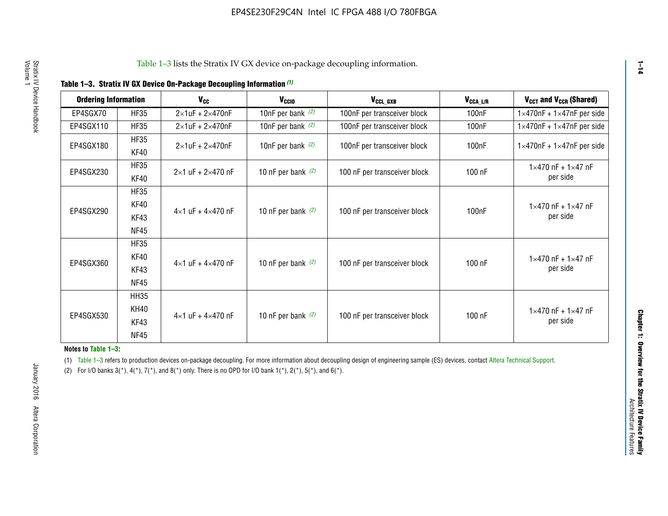|  |  | Table 1-3. Stratix IV GX Device On-Package Decoupling Information (1) |  |  |
|--|--|-----------------------------------------------------------------------|--|--|
|--|--|-----------------------------------------------------------------------|--|--|

| <b>Ordering Information</b> |                            | <b>V<sub>cc</sub></b>               | V <sub>ccio</sub>    | V <sub>CCL GXB</sub>         | V <sub>CCA_L/R</sub> | V <sub>CCT</sub> and V <sub>CCR</sub> (Shared)   |
|-----------------------------|----------------------------|-------------------------------------|----------------------|------------------------------|----------------------|--------------------------------------------------|
| EP4SGX70                    | <b>HF35</b>                | $2\times1$ uF + $2\times470$ nF     | 10nF per bank $(2)$  | 100nF per transceiver block  | 100 <sub>n</sub> F   | $1 \times 470$ nF + $1 \times 47$ nF per side    |
| EP4SGX110                   | <b>HF35</b>                | $2\times1$ uF + $2\times470$ nF     | 10nF per bank $(2)$  | 100nF per transceiver block  | 100 <sub>n</sub> F   | $1\times470$ nF + $1\times47$ nF per side        |
| EP4SGX180                   | <b>HF35</b><br>KF40        | $2\times1$ uF + $2\times470$ nF     | 10nF per bank $(2)$  | 100nF per transceiver block  | 100 <sub>n</sub> F   | $1 \times 470$ nF + $1 \times 47$ nF per side    |
| EP4SGX230                   | <b>HF35</b><br>KF40        | $2 \times 1$ uF + $2 \times 470$ nF | 10 nF per bank $(2)$ | 100 nF per transceiver block | 100 nF               | $1 \times 470$ nF + $1 \times 47$ nF<br>per side |
|                             | <b>HF35</b><br><b>KF40</b> |                                     |                      |                              |                      | $1 \times 470$ nF + $1 \times 47$ nF             |
| EP4SGX290                   | KF43<br><b>NF45</b>        | $4 \times 1$ uF + $4 \times 470$ nF | 10 nF per bank $(2)$ | 100 nF per transceiver block | 100nF                | per side                                         |
|                             | <b>HF35</b><br>KF40        |                                     |                      |                              |                      | $1 \times 470$ nF + $1 \times 47$ nF             |
| EP4SGX360                   | KF43<br><b>NF45</b>        | $4 \times 1$ uF + $4 \times 470$ nF | 10 nF per bank $(2)$ | 100 nF per transceiver block | 100 nF               | per side                                         |
|                             | <b>HH35</b>                |                                     |                      |                              |                      |                                                  |
| EP4SGX530                   | <b>KH40</b><br>KF43        | $4 \times 1$ uF + $4 \times 470$ nF | 10 nF per bank $(2)$ | 100 nF per transceiver block | 100 nF               | $1 \times 470$ nF + $1 \times 47$ nF<br>per side |
|                             | <b>NF45</b>                |                                     |                      |                              |                      |                                                  |

**Notes to Table 1–3:**

(1) Table 1-3 refers to production devices on-package decoupling. For more information about decoupling design of engineering sample (ES) devices, contact [Altera Technical Support](http://mysupport.altera.com/eservice/login.asp).

(2) For I/O banks  $3(*)$ ,  $4(*)$ ,  $7(*)$ , and  $8(*)$  only. There is no OPD for I/O bank  $1(*)$ ,  $2(*)$ ,  $5(*)$ , and  $6(*)$ .

**1–14**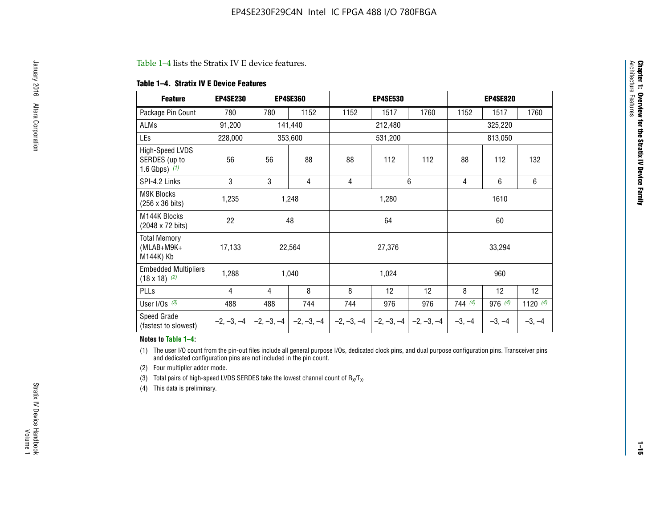#### Table 1–4 lists the Stratix IV E device features.

#### **Table 1–4. Stratix IV E Device Features**

| <b>Feature</b>                                      | <b>EP4SE230</b> |     | <b>EP4SE360</b>                          |              | <b>EP4SE530</b> |              |          | <b>EP4SE820</b> |            |  |
|-----------------------------------------------------|-----------------|-----|------------------------------------------|--------------|-----------------|--------------|----------|-----------------|------------|--|
| Package Pin Count                                   | 780             | 780 | 1152                                     | 1152         | 1517            | 1760         | 1152     | 1517            | 1760       |  |
| ALMs                                                | 91,200          |     | 141,440                                  |              | 212,480         |              |          | 325,220         |            |  |
| LEs                                                 | 228,000         |     | 353,600                                  |              | 531,200         |              |          | 813,050         |            |  |
| High-Speed LVDS<br>SERDES (up to<br>1.6 Gbps) $(1)$ | 56              | 56  | 88                                       | 88           | 112             | 112          | 88       | 112             | 132        |  |
| SPI-4.2 Links                                       | 3               | 3   | 4                                        | 4            |                 | 6            | 4        | 6               | 6          |  |
| <b>M9K Blocks</b><br>(256 x 36 bits)                | 1,235           |     | 1,248                                    |              | 1,280           |              |          | 1610            |            |  |
| M144K Blocks<br>(2048 x 72 bits)                    | 22              |     | 48                                       |              | 64              |              |          | 60              |            |  |
| <b>Total Memory</b><br>$(MLAB+M9K+$<br>M144K) Kb    | 17,133          |     | 22,564                                   |              | 27,376          |              |          | 33,294          |            |  |
| <b>Embedded Multipliers</b><br>$(18 \times 18)$ (2) | 1,288           |     | 1,040                                    |              | 1,024           |              |          | 960             |            |  |
| PLLs                                                | 4               | 4   | 8                                        | 8            | 12              | 12           | 8        | 12              | 12         |  |
| User I/Os $(3)$                                     | 488             | 488 | 744                                      | 744          | 976             | 976          | 744(4)   | 976 (4)         | 1120 $(4)$ |  |
| Speed Grade<br>(fastest to slowest)                 |                 |     | $-2, -3, -4$ $ -2, -3, -4$ $ -2, -3, -4$ | $-2, -3, -4$ | $-2, -3, -4$    | $-2, -3, -4$ | $-3, -4$ | $-3, -4$        | $-3, -4$   |  |

#### **Notes to Table 1–4:**

(1) The user I/O count from the pin-out files include all general purpose I/Os, dedicated clock pins, and dual purpose configuration pins. Transceiver pins and dedicated configuration pins are not included in the pin count.

(2) Four multiplier adder mode.

(3) Total pairs of high-speed LVDS SERDES take the lowest channel count of  $R_X/T_X$ .

(4) This data is preliminary.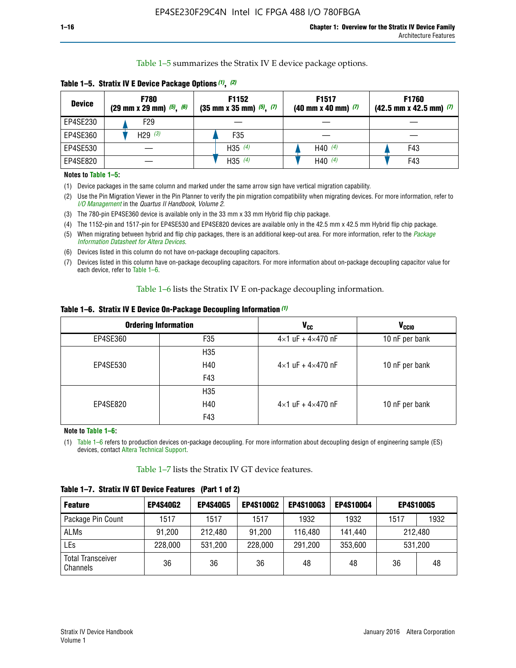Table 1–5 summarizes the Stratix IV E device package options.

| <b>Device</b> | <b>F780</b><br>$(29 \text{ mm} \times 29 \text{ mm})$ $(5)$ , $(6)$ | F1152<br>$(35 \text{ mm} \times 35 \text{ mm})$ $(5)$ $(7)$ | F <sub>1517</sub><br>$(40 \text{ mm} \times 40 \text{ mm})$ (7) | <b>F1760</b><br>$(42.5$ mm x 42.5 mm) $(7)$ |
|---------------|---------------------------------------------------------------------|-------------------------------------------------------------|-----------------------------------------------------------------|---------------------------------------------|
| EP4SE230      | F <sub>29</sub>                                                     |                                                             |                                                                 |                                             |
| EP4SE360      | H29 $(3)$                                                           | F35                                                         |                                                                 |                                             |
| EP4SE530      |                                                                     | H35 $(4)$                                                   | H40 $(4)$                                                       | F43                                         |
| EP4SE820      |                                                                     | H35 $(4)$                                                   | H40 $(4)$                                                       | F43                                         |

**Table 1–5. Stratix IV E Device Package Options** *(1)***,** *(2)*

#### **Notes to Table 1–5:**

(1) Device packages in the same column and marked under the same arrow sign have vertical migration capability.

(2) Use the Pin Migration Viewer in the Pin Planner to verify the pin migration compatibility when migrating devices. For more information, refer to *[I/O Management](http://www.altera.com/literature/hb/qts/qts_qii52013.pdf)* in the *Quartus II Handbook, Volume 2*.

(3) The 780-pin EP4SE360 device is available only in the 33 mm x 33 mm Hybrid flip chip package.

(4) The 1152-pin and 1517-pin for EP4SE530 and EP4SE820 devices are available only in the 42.5 mm x 42.5 mm Hybrid flip chip package.

(5) When migrating between hybrid and flip chip packages, there is an additional keep-out area. For more information, refer to the *[Package](http://www.altera.com/literature/ds/dspkg.pdf)  [Information Datasheet for Altera Devices](http://www.altera.com/literature/ds/dspkg.pdf)*.

(6) Devices listed in this column do not have on-package decoupling capacitors.

(7) Devices listed in this column have on-package decoupling capacitors. For more information about on-package decoupling capacitor value for each device, refer to Table 1–6.

Table 1–6 lists the Stratix IV E on-package decoupling information.

| Table 1–6. Stratix IV E Device On-Package Decoupling Information (1) |  |  |  |  |  |
|----------------------------------------------------------------------|--|--|--|--|--|
|----------------------------------------------------------------------|--|--|--|--|--|

|          | <b>Ordering Information</b> | <b>V<sub>cc</sub></b>               | <b>V<sub>CCIO</sub></b> |
|----------|-----------------------------|-------------------------------------|-------------------------|
| EP4SE360 | F35                         | $4 \times 1$ uF + $4 \times 470$ nF | 10 nF per bank          |
|          | H <sub>35</sub>             |                                     |                         |
| EP4SE530 | H40                         | $4 \times 1$ uF + $4 \times 470$ nF | 10 nF per bank          |
|          | F43                         |                                     |                         |
|          | H <sub>35</sub>             |                                     |                         |
| EP4SE820 | H40                         | $4 \times 1$ uF + $4 \times 470$ nF | 10 nF per bank          |
|          | F43                         |                                     |                         |

**Note to Table 1–6:**

(1) Table 1–6 refers to production devices on-package decoupling. For more information about decoupling design of engineering sample (ES) devices, contact [Altera Technical Support](http://mysupport.altera.com/eservice/login.asp).

Table 1–7 lists the Stratix IV GT device features.

| <b>Feature</b>                       | <b>EP4S40G2</b> | <b>EP4S40G5</b> | <b>EP4S100G2</b> | <b>EP4S100G3</b> | <b>EP4S100G4</b> | <b>EP4S100G5</b> |         |
|--------------------------------------|-----------------|-----------------|------------------|------------------|------------------|------------------|---------|
| Package Pin Count                    | 1517            | 1517            | 1517             | 1932             | 1932             | 1517             | 1932    |
| <b>ALMs</b>                          | 91,200          | 212,480         | 91,200           | 116,480          | 141,440          |                  | 212.480 |
| LEs                                  | 228,000         | 531,200         | 228,000          | 291,200          | 353,600          |                  | 531,200 |
| <b>Total Transceiver</b><br>Channels | 36              | 36              | 36               | 48               | 48               | 36               | 48      |

**Table 1–7. Stratix IV GT Device Features (Part 1 of 2)**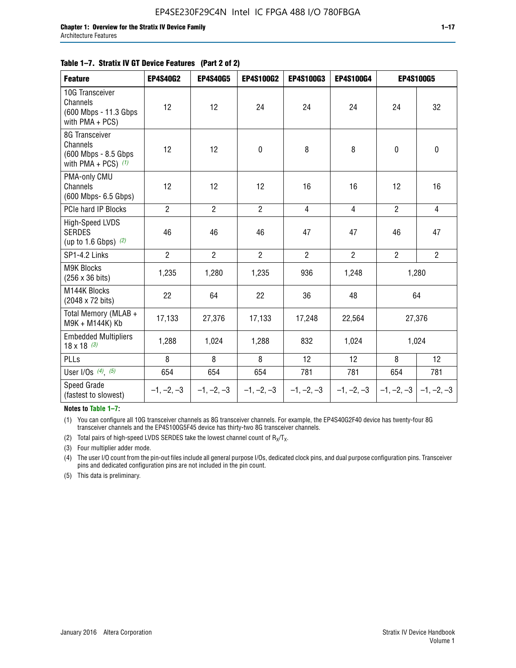#### **Table 1–7. Stratix IV GT Device Features (Part 2 of 2)**

| <b>Feature</b>                                                              | <b>EP4S40G2</b> | <b>EP4S40G5</b> | <b>EP4S100G2</b> | <b>EP4S100G3</b> | <b>EP4S100G4</b> |                | <b>EP4S100G5</b>          |
|-----------------------------------------------------------------------------|-----------------|-----------------|------------------|------------------|------------------|----------------|---------------------------|
| 10G Transceiver<br>Channels<br>(600 Mbps - 11.3 Gbps<br>with PMA + PCS)     | 12              | 12              | 24               | 24               | 24               | 24             | 32                        |
| 8G Transceiver<br>Channels<br>(600 Mbps - 8.5 Gbps<br>with PMA + PCS) $(1)$ | 12              | 12              | $\pmb{0}$        | 8                | 8                | $\mathbf 0$    | $\mathbf 0$               |
| PMA-only CMU<br>Channels<br>(600 Mbps- 6.5 Gbps)                            | 12              | 12              | 12               | 16               | 16               | 12             | 16                        |
| PCIe hard IP Blocks                                                         | $\overline{2}$  | $\overline{2}$  | $\overline{2}$   | $\overline{4}$   | $\overline{4}$   | $\overline{2}$ | $\overline{4}$            |
| <b>High-Speed LVDS</b><br><b>SERDES</b><br>(up to 1.6 Gbps) $(2)$           | 46              | 46              | 46               | 47               | 47               | 46             | 47                        |
| SP1-4.2 Links                                                               | $\overline{2}$  | $\overline{2}$  | $\overline{2}$   | $\overline{2}$   | $\overline{2}$   | $\overline{2}$ | $\overline{2}$            |
| <b>M9K Blocks</b><br>(256 x 36 bits)                                        | 1,235           | 1,280           | 1,235            | 936              | 1,248            |                | 1,280                     |
| M144K Blocks<br>(2048 x 72 bits)                                            | 22              | 64              | 22               | 36               | 48               |                | 64                        |
| Total Memory (MLAB +<br>M9K + M144K) Kb                                     | 17,133          | 27,376          | 17,133           | 17,248           | 22,564           |                | 27,376                    |
| <b>Embedded Multipliers</b><br>$18 \times 18^{(3)}$                         | 1,288           | 1,024           | 1,288            | 832              | 1,024            |                | 1,024                     |
| <b>PLLs</b>                                                                 | 8               | 8               | 8                | 12               | 12               | 8              | 12                        |
| User I/Os $(4)$ , $(5)$                                                     | 654             | 654             | 654              | 781              | 781              | 654            | 781                       |
| Speed Grade<br>(fastest to slowest)                                         | $-1, -2, -3$    | $-1, -2, -3$    | $-1, -2, -3$     | $-1, -2, -3$     | $-1, -2, -3$     |                | $-1, -2, -3$ $-1, -2, -3$ |

**Notes to Table 1–7:**

(1) You can configure all 10G transceiver channels as 8G transceiver channels. For example, the EP4S40G2F40 device has twenty-four 8G transceiver channels and the EP4S100G5F45 device has thirty-two 8G transceiver channels.

(2) Total pairs of high-speed LVDS SERDES take the lowest channel count of  $R_X/T_X$ .

(3) Four multiplier adder mode.

(4) The user I/O count from the pin-out files include all general purpose I/Os, dedicated clock pins, and dual purpose configuration pins. Transceiver pins and dedicated configuration pins are not included in the pin count.

(5) This data is preliminary.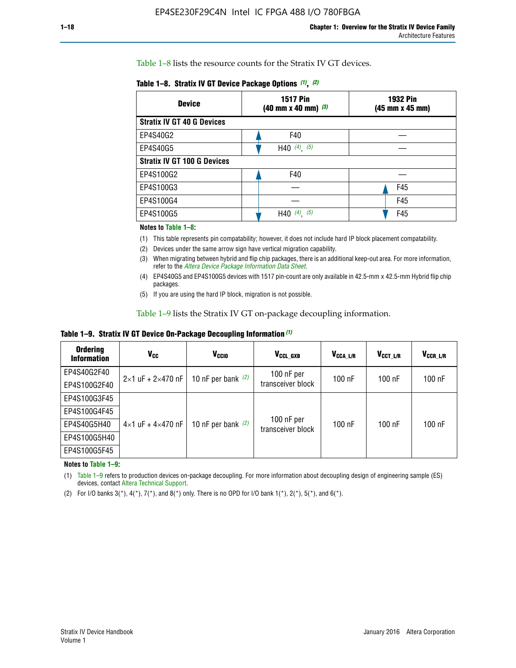Table 1–8 lists the resource counts for the Stratix IV GT devices.

| <b>Device</b>                      | <b>1517 Pin</b><br><b>1932 Pin</b><br>$(40 \text{ mm} \times 40 \text{ mm})$ $(3)$<br>(45 mm x 45 mm) |     |  |
|------------------------------------|-------------------------------------------------------------------------------------------------------|-----|--|
| <b>Stratix IV GT 40 G Devices</b>  |                                                                                                       |     |  |
| EP4S40G2                           | F40                                                                                                   |     |  |
| EP4S40G5                           | H40 $(4)$ , $(5)$                                                                                     |     |  |
| <b>Stratix IV GT 100 G Devices</b> |                                                                                                       |     |  |
| EP4S100G2                          | F40                                                                                                   |     |  |
| EP4S100G3                          |                                                                                                       | F45 |  |
| EP4S100G4                          |                                                                                                       | F45 |  |
| EP4S100G5                          | (5)<br>$(4)$ ,<br>H40                                                                                 | F45 |  |

#### **Notes to Table 1–8:**

(1) This table represents pin compatability; however, it does not include hard IP block placement compatability.

- (2) Devices under the same arrow sign have vertical migration capability.
- (3) When migrating between hybrid and flip chip packages, there is an additional keep-out area. For more information, refer to the *[Altera Device Package Information Data Sheet](http://www.altera.com/literature/ds/dspkg.pdf)*.
- (4) EP4S40G5 and EP4S100G5 devices with 1517 pin-count are only available in 42.5-mm x 42.5-mm Hybrid flip chip packages.
- (5) If you are using the hard IP block, migration is not possible.

Table 1–9 lists the Stratix IV GT on-package decoupling information.

**Table 1–9. Stratix IV GT Device On-Package Decoupling Information** *(1)*

| <b>Ordering</b><br><b>Information</b> | Vcc                                 | <b>V<sub>CCIO</sub></b> | V <sub>CCL GXB</sub>            | V <sub>CCA L/R</sub> | V <sub>CCT L/R</sub> | $V_{CCR\_L/R}$ |
|---------------------------------------|-------------------------------------|-------------------------|---------------------------------|----------------------|----------------------|----------------|
| EP4S40G2F40                           | $2 \times 1$ uF + $2 \times 470$ nF | 10 nF per bank $(2)$    | 100 nF per<br>transceiver block | $100$ nF             | $100$ nF             | $100$ nF       |
| EP4S100G2F40                          |                                     |                         |                                 |                      |                      |                |
| EP4S100G3F45                          |                                     | 10 nF per bank $(2)$    | 100 nF per<br>transceiver block | $100$ nF             | $100$ nF             | $100$ nF       |
| EP4S100G4F45                          |                                     |                         |                                 |                      |                      |                |
| EP4S40G5H40                           | $4\times1$ uF + $4\times470$ nF     |                         |                                 |                      |                      |                |
| EP4S100G5H40                          |                                     |                         |                                 |                      |                      |                |
| EP4S100G5F45                          |                                     |                         |                                 |                      |                      |                |

**Notes to Table 1–9:**

(1) Table 1–9 refers to production devices on-package decoupling. For more information about decoupling design of engineering sample (ES) devices, contact [Altera Technical Support](http://mysupport.altera.com/eservice/login.asp).

(2) For I/O banks  $3(*)$ ,  $4(*)$ ,  $7(*)$ , and  $8(*)$  only. There is no OPD for I/O bank  $1(*)$ ,  $2(*)$ ,  $5(*)$ , and  $6(*)$ .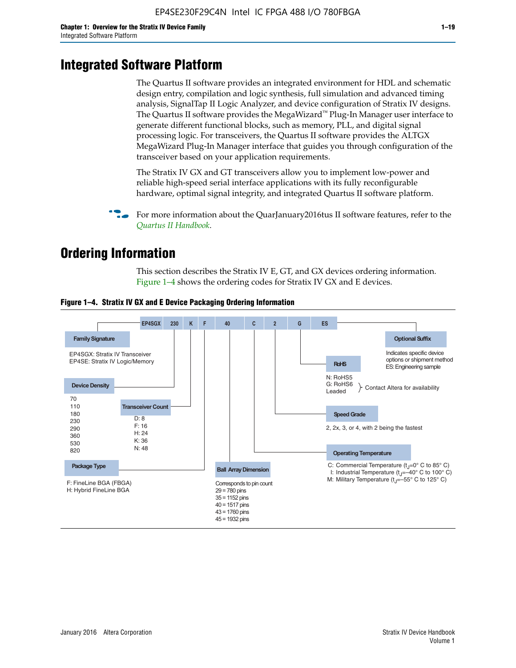# **Integrated Software Platform**

The Quartus II software provides an integrated environment for HDL and schematic design entry, compilation and logic synthesis, full simulation and advanced timing analysis, SignalTap II Logic Analyzer, and device configuration of Stratix IV designs. The Quartus II software provides the MegaWizard<sup> $M$ </sup> Plug-In Manager user interface to generate different functional blocks, such as memory, PLL, and digital signal processing logic. For transceivers, the Quartus II software provides the ALTGX MegaWizard Plug-In Manager interface that guides you through configuration of the transceiver based on your application requirements.

The Stratix IV GX and GT transceivers allow you to implement low-power and reliable high-speed serial interface applications with its fully reconfigurable hardware, optimal signal integrity, and integrated Quartus II software platform.

For more information about the QuarJanuary2016tus II software features, refer to the *[Quartus II Handbook](http://www.altera.com/literature/lit-qts.jsp)*.

# **Ordering Information**

This section describes the Stratix IV E, GT, and GX devices ordering information. Figure 1–4 shows the ordering codes for Stratix IV GX and E devices.



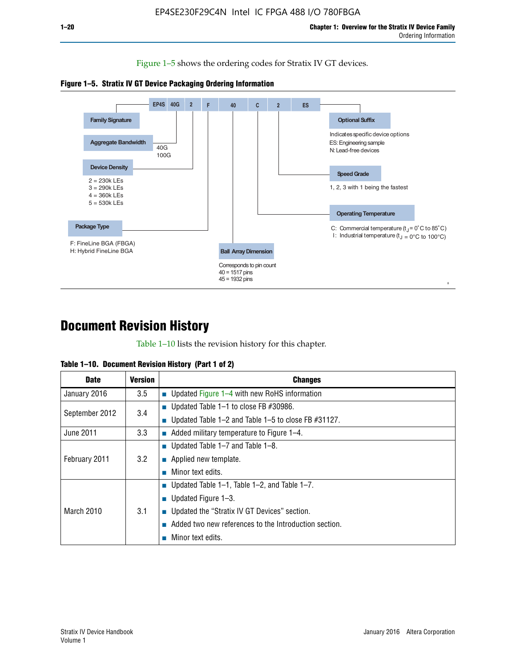Figure 1–5 shows the ordering codes for Stratix IV GT devices.





# **Document Revision History**

Table 1–10 lists the revision history for this chapter.

| Table 1–10. Document Revision History (Part 1 of 2) |  |  |  |  |  |
|-----------------------------------------------------|--|--|--|--|--|
|-----------------------------------------------------|--|--|--|--|--|

| <b>Date</b>       | <b>Version</b> | <b>Changes</b>                                           |
|-------------------|----------------|----------------------------------------------------------|
| January 2016      | 3.5            | ■ Updated Figure $1-4$ with new RoHS information         |
| September 2012    | 3.4            | ■ Updated Table 1–1 to close FB $#30986$ .               |
|                   |                | ■ Updated Table 1–2 and Table 1–5 to close FB $#31127$ . |
| June 2011         | 3.3            | $\blacksquare$ Added military temperature to Figure 1–4. |
| February 2011     |                | ■ Updated Table $1-7$ and Table $1-8$ .                  |
|                   | 3.2            | $\blacksquare$ Applied new template.                     |
|                   |                | Minor text edits.                                        |
| <b>March 2010</b> |                | ■ Updated Table 1–1, Table 1–2, and Table 1–7.           |
|                   |                | ■ Updated Figure $1-3$ .                                 |
|                   | 3.1            | ■ Updated the "Stratix IV GT Devices" section.           |
|                   |                | Added two new references to the Introduction section.    |
|                   |                | Minor text edits.                                        |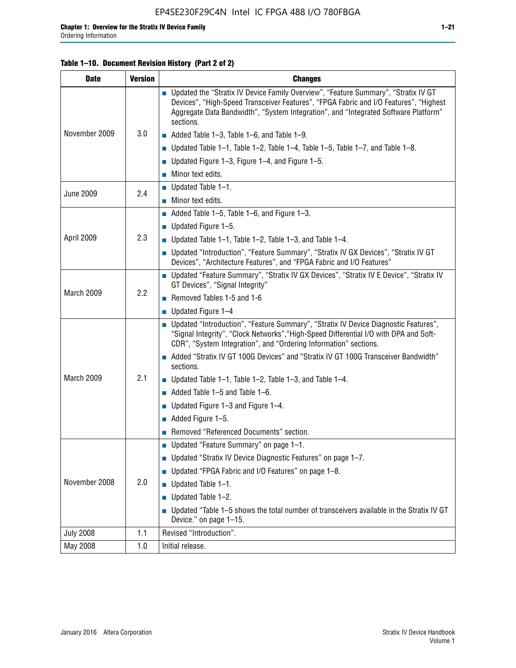#### **Table 1–10. Document Revision History (Part 2 of 2)**

| <b>Date</b>      | <b>Version</b> | <b>Changes</b>                                                                                                                                                                                                                                                                    |  |  |
|------------------|----------------|-----------------------------------------------------------------------------------------------------------------------------------------------------------------------------------------------------------------------------------------------------------------------------------|--|--|
|                  |                | ■ Updated the "Stratix IV Device Family Overview", "Feature Summary", "Stratix IV GT<br>Devices", "High-Speed Transceiver Features", "FPGA Fabric and I/O Features", "Highest<br>Aggregate Data Bandwidth", "System Integration", and "Integrated Software Platform"<br>sections. |  |  |
| November 2009    | 3.0            | $\blacksquare$ Added Table 1-3, Table 1-6, and Table 1-9.                                                                                                                                                                                                                         |  |  |
|                  |                | $\blacksquare$ Updated Table 1-1, Table 1-2, Table 1-4, Table 1-5, Table 1-7, and Table 1-8.                                                                                                                                                                                      |  |  |
|                  |                | ■ Updated Figure 1–3, Figure 1–4, and Figure 1–5.                                                                                                                                                                                                                                 |  |  |
|                  |                | $\blacksquare$ Minor text edits.                                                                                                                                                                                                                                                  |  |  |
| <b>June 2009</b> |                | $\blacksquare$ Updated Table 1-1.                                                                                                                                                                                                                                                 |  |  |
|                  | 2.4            | Minor text edits.                                                                                                                                                                                                                                                                 |  |  |
|                  |                | $\blacksquare$ Added Table 1–5, Table 1–6, and Figure 1–3.                                                                                                                                                                                                                        |  |  |
|                  |                | <b>Updated Figure 1-5.</b>                                                                                                                                                                                                                                                        |  |  |
| April 2009       | 2.3            | Updated Table $1-1$ , Table $1-2$ , Table $1-3$ , and Table $1-4$ .                                                                                                                                                                                                               |  |  |
|                  |                | ■ Updated "Introduction", "Feature Summary", "Stratix IV GX Devices", "Stratix IV GT<br>Devices", "Architecture Features", and "FPGA Fabric and I/O Features"                                                                                                                     |  |  |
|                  | 2.2            | ■ Updated "Feature Summary", "Stratix IV GX Devices", "Stratix IV E Device", "Stratix IV<br>GT Devices", "Signal Integrity"                                                                                                                                                       |  |  |
| March 2009       |                | Removed Tables 1-5 and 1-6                                                                                                                                                                                                                                                        |  |  |
|                  |                | $\blacksquare$ Updated Figure 1-4                                                                                                                                                                                                                                                 |  |  |
|                  |                | ■ Updated "Introduction", "Feature Summary", "Stratix IV Device Diagnostic Features",<br>"Signal Integrity", "Clock Networks", "High-Speed Differential I/O with DPA and Soft-<br>CDR", "System Integration", and "Ordering Information" sections.                                |  |  |
|                  |                | Added "Stratix IV GT 100G Devices" and "Stratix IV GT 100G Transceiver Bandwidth"<br>sections.                                                                                                                                                                                    |  |  |
| March 2009       | 2.1            | ■ Updated Table 1–1, Table 1–2, Table 1–3, and Table 1–4.                                                                                                                                                                                                                         |  |  |
|                  |                | $\blacksquare$ Added Table 1–5 and Table 1–6.                                                                                                                                                                                                                                     |  |  |
|                  |                | ■ Updated Figure 1–3 and Figure 1–4.                                                                                                                                                                                                                                              |  |  |
|                  |                | $\blacksquare$ Added Figure 1-5.                                                                                                                                                                                                                                                  |  |  |
|                  |                | Removed "Referenced Documents" section.                                                                                                                                                                                                                                           |  |  |
|                  |                | ■ Updated "Feature Summary" on page 1-1.                                                                                                                                                                                                                                          |  |  |
| November 2008    |                | ■ Updated "Stratix IV Device Diagnostic Features" on page 1-7.                                                                                                                                                                                                                    |  |  |
|                  | 2.0            | Updated "FPGA Fabric and I/O Features" on page 1-8.                                                                                                                                                                                                                               |  |  |
|                  |                | $\blacksquare$ Updated Table 1-1.                                                                                                                                                                                                                                                 |  |  |
|                  |                | Updated Table 1-2.                                                                                                                                                                                                                                                                |  |  |
|                  |                | Updated "Table 1-5 shows the total number of transceivers available in the Stratix IV GT<br>Device." on page 1-15.                                                                                                                                                                |  |  |
| <b>July 2008</b> | 1.1            | Revised "Introduction".                                                                                                                                                                                                                                                           |  |  |
| May 2008         | 1.0            | Initial release.                                                                                                                                                                                                                                                                  |  |  |